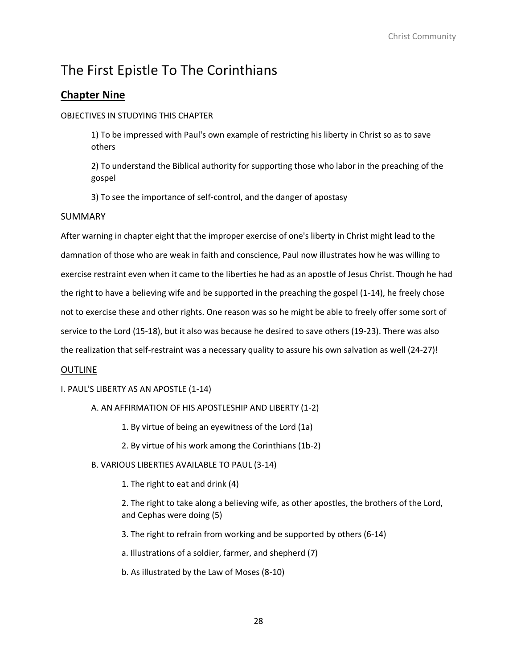# **Chapter Nine**

# OBJECTIVES IN STUDYING THIS CHAPTER

1) To be impressed with Paul's own example of restricting his liberty in Christ so as to save others

2) To understand the Biblical authority for supporting those who labor in the preaching of the gospel

3) To see the importance of self-control, and the danger of apostasy

# SUMMARY

After warning in chapter eight that the improper exercise of one's liberty in Christ might lead to the damnation of those who are weak in faith and conscience, Paul now illustrates how he was willing to exercise restraint even when it came to the liberties he had as an apostle of Jesus Christ. Though he had the right to have a believing wife and be supported in the preaching the gospel (1-14), he freely chose not to exercise these and other rights. One reason was so he might be able to freely offer some sort of service to the Lord (15-18), but it also was because he desired to save others (19-23). There was also the realization that self-restraint was a necessary quality to assure his own salvation as well (24-27)!

# **OUTLINE**

# I. PAUL'S LIBERTY AS AN APOSTLE (1-14)

# A. AN AFFIRMATION OF HIS APOSTLESHIP AND LIBERTY (1-2)

- 1. By virtue of being an eyewitness of the Lord (1a)
- 2. By virtue of his work among the Corinthians (1b-2)
- B. VARIOUS LIBERTIES AVAILABLE TO PAUL (3-14)

1. The right to eat and drink (4)

2. The right to take along a believing wife, as other apostles, the brothers of the Lord, and Cephas were doing (5)

3. The right to refrain from working and be supported by others (6-14)

a. Illustrations of a soldier, farmer, and shepherd (7)

b. As illustrated by the Law of Moses (8-10)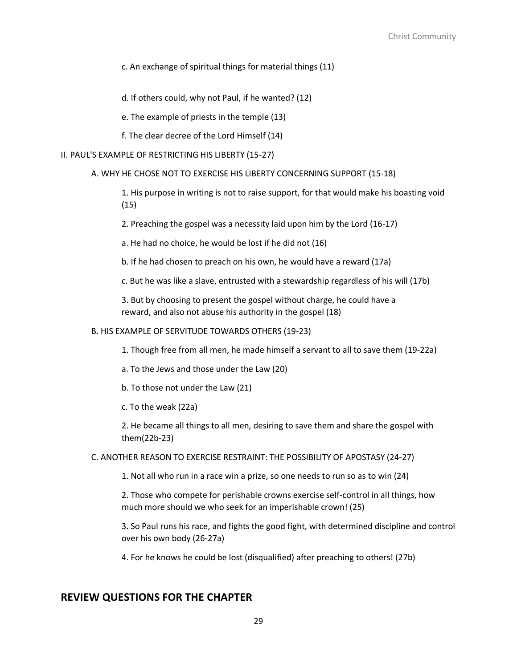c. An exchange of spiritual things for material things (11)

d. If others could, why not Paul, if he wanted? (12)

e. The example of priests in the temple (13)

f. The clear decree of the Lord Himself (14)

#### II. PAUL'S EXAMPLE OF RESTRICTING HIS LIBERTY (15-27)

### A. WHY HE CHOSE NOT TO EXERCISE HIS LIBERTY CONCERNING SUPPORT (15-18)

1. His purpose in writing is not to raise support, for that would make his boasting void (15)

2. Preaching the gospel was a necessity laid upon him by the Lord (16-17)

a. He had no choice, he would be lost if he did not (16)

b. If he had chosen to preach on his own, he would have a reward (17a)

c. But he was like a slave, entrusted with a stewardship regardless of his will (17b)

3. But by choosing to present the gospel without charge, he could have a reward, and also not abuse his authority in the gospel (18)

### B. HIS EXAMPLE OF SERVITUDE TOWARDS OTHERS (19-23)

1. Though free from all men, he made himself a servant to all to save them (19-22a)

- a. To the Jews and those under the Law (20)
- b. To those not under the Law (21)
- c. To the weak (22a)

2. He became all things to all men, desiring to save them and share the gospel with them(22b-23)

#### C. ANOTHER REASON TO EXERCISE RESTRAINT: THE POSSIBILITY OF APOSTASY (24-27)

1. Not all who run in a race win a prize, so one needs to run so as to win (24)

2. Those who compete for perishable crowns exercise self-control in all things, how much more should we who seek for an imperishable crown! (25)

3. So Paul runs his race, and fights the good fight, with determined discipline and control over his own body (26-27a)

4. For he knows he could be lost (disqualified) after preaching to others! (27b)

# **REVIEW QUESTIONS FOR THE CHAPTER**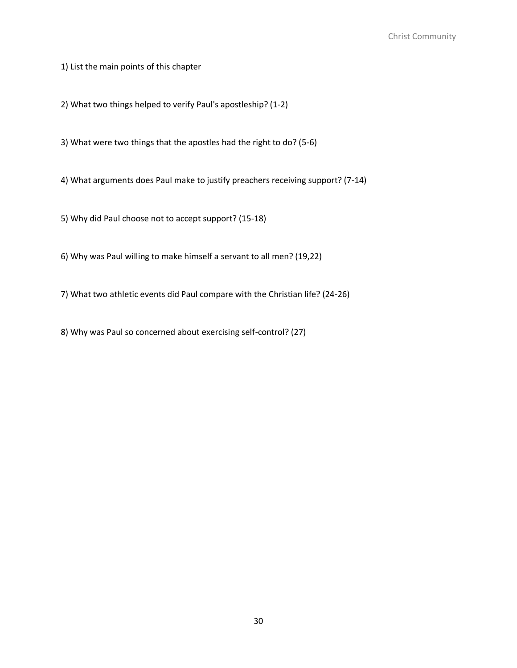1) List the main points of this chapter

2) What two things helped to verify Paul's apostleship? (1-2)

3) What were two things that the apostles had the right to do? (5-6)

4) What arguments does Paul make to justify preachers receiving support? (7-14)

5) Why did Paul choose not to accept support? (15-18)

6) Why was Paul willing to make himself a servant to all men? (19,22)

7) What two athletic events did Paul compare with the Christian life? (24-26)

8) Why was Paul so concerned about exercising self-control? (27)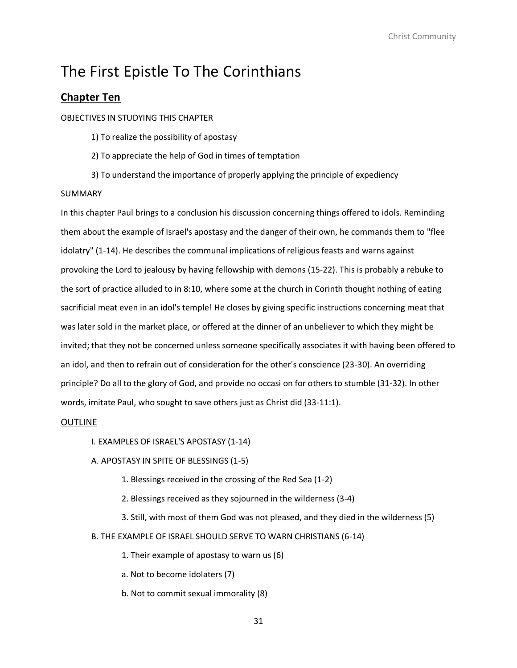# **Chapter Ten**

### OBJECTIVES IN STUDYING THIS CHAPTER

1) To realize the possibility of apostasy

- 2) To appreciate the help of God in times of temptation
- 3) To understand the importance of properly applying the principle of expediency

### SUMMARY

In this chapter Paul brings to a conclusion his discussion concerning things offered to idols. Reminding them about the example of Israel's apostasy and the danger of their own, he commands them to "flee idolatry" (1-14). He describes the communal implications of religious feasts and warns against provoking the Lord to jealousy by having fellowship with demons (15-22). This is probably a rebuke to the sort of practice alluded to in 8:10, where some at the church in Corinth thought nothing of eating sacrificial meat even in an idol's temple! He closes by giving specific instructions concerning meat that was later sold in the market place, or offered at the dinner of an unbeliever to which they might be invited; that they not be concerned unless someone specifically associates it with having been offered to an idol, and then to refrain out of consideration for the other's conscience (23-30). An overriding principle? Do all to the glory of God, and provide no occasi on for others to stumble (31-32). In other words, imitate Paul, who sought to save others just as Christ did (33-11:1).

#### **OUTLINE**

I. EXAMPLES OF ISRAEL'S APOSTASY (1-14)

# A. APOSTASY IN SPITE OF BLESSINGS (1-5)

- 1. Blessings received in the crossing of the Red Sea (1-2)
- 2. Blessings received as they sojourned in the wilderness (3-4)
- 3. Still, with most of them God was not pleased, and they died in the wilderness (5)
- B. THE EXAMPLE OF ISRAEL SHOULD SERVE TO WARN CHRISTIANS (6-14)

1. Their example of apostasy to warn us (6)

a. Not to become idolaters (7)

b. Not to commit sexual immorality (8)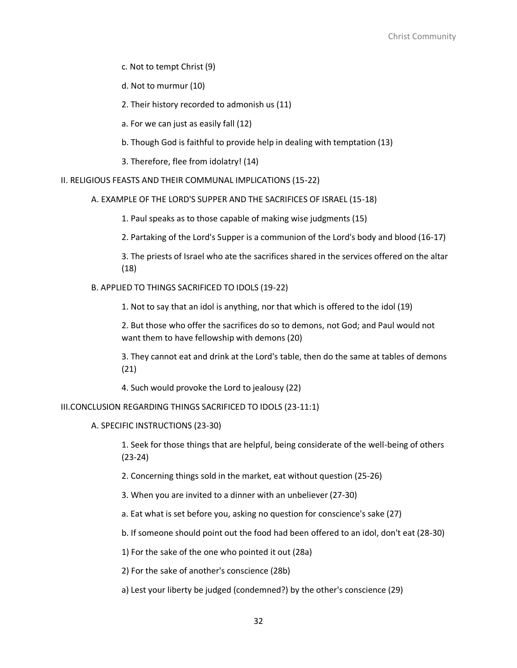c. Not to tempt Christ (9)

d. Not to murmur (10)

2. Their history recorded to admonish us (11)

a. For we can just as easily fall (12)

b. Though God is faithful to provide help in dealing with temptation (13)

3. Therefore, flee from idolatry! (14)

II. RELIGIOUS FEASTS AND THEIR COMMUNAL IMPLICATIONS (15-22)

A. EXAMPLE OF THE LORD'S SUPPER AND THE SACRIFICES OF ISRAEL (15-18)

1. Paul speaks as to those capable of making wise judgments (15)

2. Partaking of the Lord's Supper is a communion of the Lord's body and blood (16-17)

3. The priests of Israel who ate the sacrifices shared in the services offered on the altar (18)

B. APPLIED TO THINGS SACRIFICED TO IDOLS (19-22)

1. Not to say that an idol is anything, nor that which is offered to the idol (19)

2. But those who offer the sacrifices do so to demons, not God; and Paul would not want them to have fellowship with demons (20)

3. They cannot eat and drink at the Lord's table, then do the same at tables of demons (21)

4. Such would provoke the Lord to jealousy (22)

III.CONCLUSION REGARDING THINGS SACRIFICED TO IDOLS (23-11:1)

A. SPECIFIC INSTRUCTIONS (23-30)

1. Seek for those things that are helpful, being considerate of the well-being of others (23-24)

2. Concerning things sold in the market, eat without question (25-26)

3. When you are invited to a dinner with an unbeliever (27-30)

a. Eat what is set before you, asking no question for conscience's sake (27)

b. If someone should point out the food had been offered to an idol, don't eat (28-30)

1) For the sake of the one who pointed it out (28a)

2) For the sake of another's conscience (28b)

a) Lest your liberty be judged (condemned?) by the other's conscience (29)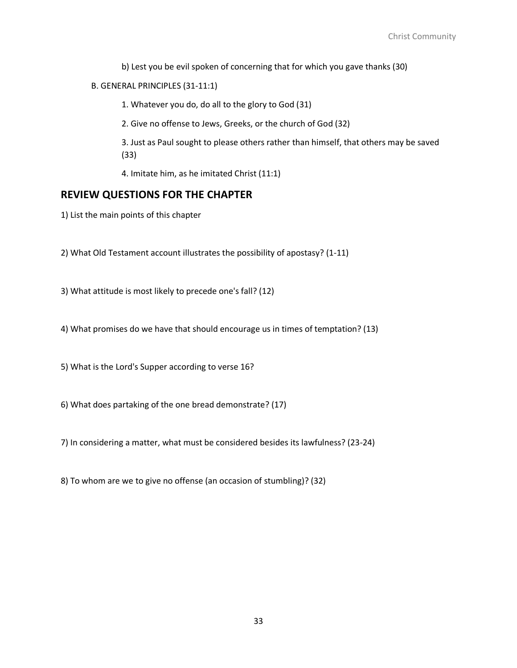b) Lest you be evil spoken of concerning that for which you gave thanks (30)

### B. GENERAL PRINCIPLES (31-11:1)

1. Whatever you do, do all to the glory to God (31)

2. Give no offense to Jews, Greeks, or the church of God (32)

3. Just as Paul sought to please others rather than himself, that others may be saved (33)

4. Imitate him, as he imitated Christ (11:1)

# **REVIEW QUESTIONS FOR THE CHAPTER**

1) List the main points of this chapter

2) What Old Testament account illustrates the possibility of apostasy? (1-11)

3) What attitude is most likely to precede one's fall? (12)

4) What promises do we have that should encourage us in times of temptation? (13)

5) What is the Lord's Supper according to verse 16?

6) What does partaking of the one bread demonstrate? (17)

7) In considering a matter, what must be considered besides its lawfulness? (23-24)

8) To whom are we to give no offense (an occasion of stumbling)? (32)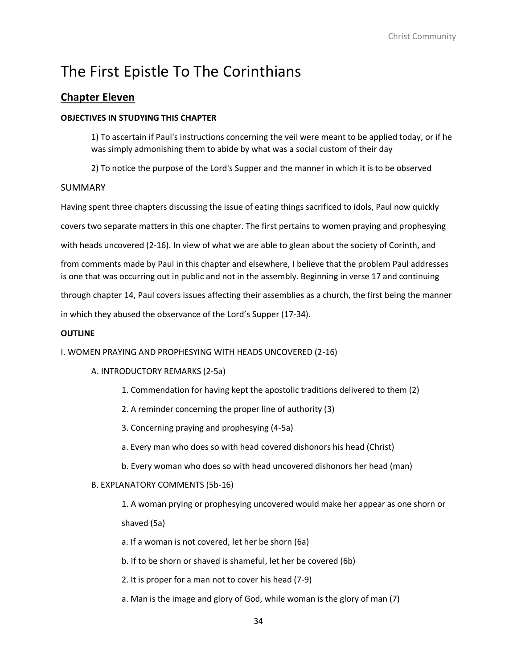# **Chapter Eleven**

# **OBJECTIVES IN STUDYING THIS CHAPTER**

1) To ascertain if Paul's instructions concerning the veil were meant to be applied today, or if he was simply admonishing them to abide by what was a social custom of their day

2) To notice the purpose of the Lord's Supper and the manner in which it is to be observed

# SUMMARY

Having spent three chapters discussing the issue of eating things sacrificed to idols, Paul now quickly

covers two separate matters in this one chapter. The first pertains to women praying and prophesying

with heads uncovered (2-16). In view of what we are able to glean about the society of Corinth, and

from comments made by Paul in this chapter and elsewhere, I believe that the problem Paul addresses is one that was occurring out in public and not in the assembly. Beginning in verse 17 and continuing

through chapter 14, Paul covers issues affecting their assemblies as a church, the first being the manner

in which they abused the observance of the Lord's Supper (17-34).

# **OUTLINE**

I. WOMEN PRAYING AND PROPHESYING WITH HEADS UNCOVERED (2-16)

# A. INTRODUCTORY REMARKS (2-5a)

- 1. Commendation for having kept the apostolic traditions delivered to them (2)
- 2. A reminder concerning the proper line of authority (3)
- 3. Concerning praying and prophesying (4-5a)
- a. Every man who does so with head covered dishonors his head (Christ)
- b. Every woman who does so with head uncovered dishonors her head (man)

# B. EXPLANATORY COMMENTS (5b-16)

1. A woman prying or prophesying uncovered would make her appear as one shorn or shaved (5a)

a. If a woman is not covered, let her be shorn (6a)

b. If to be shorn or shaved is shameful, let her be covered (6b)

2. It is proper for a man not to cover his head (7-9)

a. Man is the image and glory of God, while woman is the glory of man (7)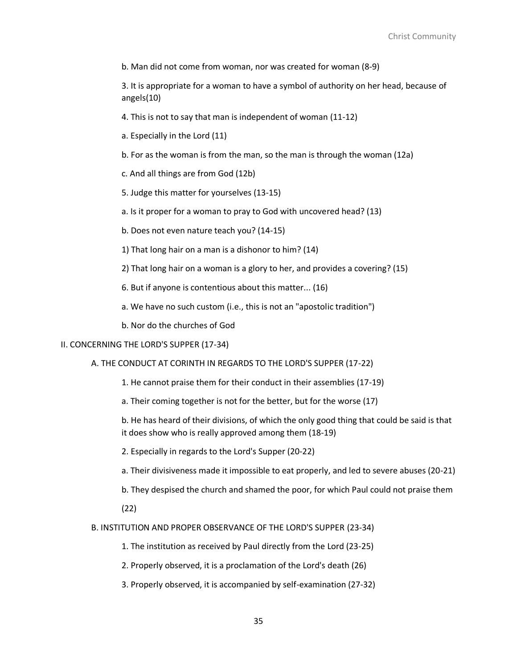b. Man did not come from woman, nor was created for woman (8-9)

3. It is appropriate for a woman to have a symbol of authority on her head, because of angels(10)

4. This is not to say that man is independent of woman (11-12)

a. Especially in the Lord (11)

b. For as the woman is from the man, so the man is through the woman (12a)

c. And all things are from God (12b)

5. Judge this matter for yourselves (13-15)

a. Is it proper for a woman to pray to God with uncovered head? (13)

b. Does not even nature teach you? (14-15)

1) That long hair on a man is a dishonor to him? (14)

2) That long hair on a woman is a glory to her, and provides a covering? (15)

6. But if anyone is contentious about this matter... (16)

a. We have no such custom (i.e., this is not an "apostolic tradition")

b. Nor do the churches of God

#### II. CONCERNING THE LORD'S SUPPER (17-34)

A. THE CONDUCT AT CORINTH IN REGARDS TO THE LORD'S SUPPER (17-22)

1. He cannot praise them for their conduct in their assemblies (17-19)

a. Their coming together is not for the better, but for the worse (17)

b. He has heard of their divisions, of which the only good thing that could be said is that it does show who is really approved among them (18-19)

2. Especially in regards to the Lord's Supper (20-22)

a. Their divisiveness made it impossible to eat properly, and led to severe abuses (20-21)

b. They despised the church and shamed the poor, for which Paul could not praise them

(22)

B. INSTITUTION AND PROPER OBSERVANCE OF THE LORD'S SUPPER (23-34)

1. The institution as received by Paul directly from the Lord (23-25)

2. Properly observed, it is a proclamation of the Lord's death (26)

3. Properly observed, it is accompanied by self-examination (27-32)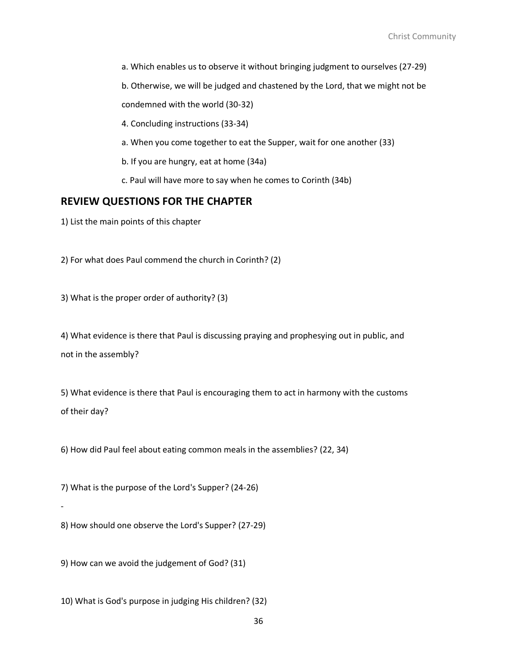a. Which enables us to observe it without bringing judgment to ourselves (27-29)

b. Otherwise, we will be judged and chastened by the Lord, that we might not be

condemned with the world (30-32)

4. Concluding instructions (33-34)

- a. When you come together to eat the Supper, wait for one another (33)
- b. If you are hungry, eat at home (34a)

c. Paul will have more to say when he comes to Corinth (34b)

# **REVIEW QUESTIONS FOR THE CHAPTER**

1) List the main points of this chapter

2) For what does Paul commend the church in Corinth? (2)

3) What is the proper order of authority? (3)

4) What evidence is there that Paul is discussing praying and prophesying out in public, and not in the assembly?

5) What evidence is there that Paul is encouraging them to act in harmony with the customs of their day?

6) How did Paul feel about eating common meals in the assemblies? (22, 34)

7) What is the purpose of the Lord's Supper? (24-26)

-

8) How should one observe the Lord's Supper? (27-29)

9) How can we avoid the judgement of God? (31)

10) What is God's purpose in judging His children? (32)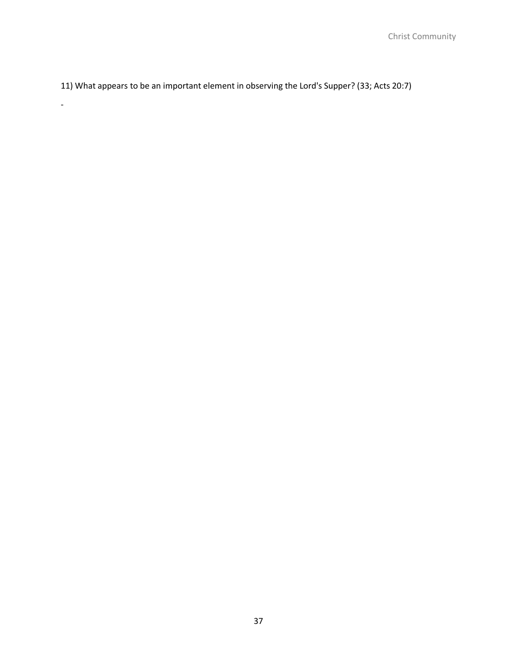11) What appears to be an important element in observing the Lord's Supper? (33; Acts 20:7)

-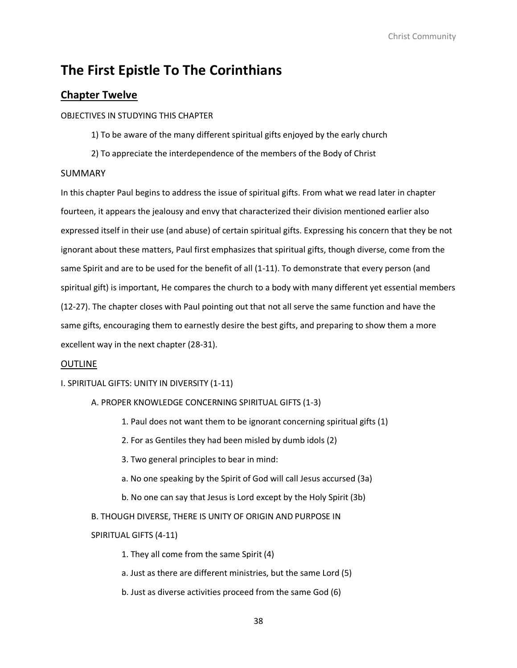# **Chapter Twelve**

### OBJECTIVES IN STUDYING THIS CHAPTER

1) To be aware of the many different spiritual gifts enjoyed by the early church

2) To appreciate the interdependence of the members of the Body of Christ

### SUMMARY

In this chapter Paul begins to address the issue of spiritual gifts. From what we read later in chapter fourteen, it appears the jealousy and envy that characterized their division mentioned earlier also expressed itself in their use (and abuse) of certain spiritual gifts. Expressing his concern that they be not ignorant about these matters, Paul first emphasizes that spiritual gifts, though diverse, come from the same Spirit and are to be used for the benefit of all (1-11). To demonstrate that every person (and spiritual gift) is important, He compares the church to a body with many different yet essential members (12-27). The chapter closes with Paul pointing out that not all serve the same function and have the same gifts, encouraging them to earnestly desire the best gifts, and preparing to show them a more excellent way in the next chapter (28-31).

#### OUTLINE

#### I. SPIRITUAL GIFTS: UNITY IN DIVERSITY (1-11)

#### A. PROPER KNOWLEDGE CONCERNING SPIRITUAL GIFTS (1-3)

- 1. Paul does not want them to be ignorant concerning spiritual gifts (1)
- 2. For as Gentiles they had been misled by dumb idols (2)
- 3. Two general principles to bear in mind:
- a. No one speaking by the Spirit of God will call Jesus accursed (3a)
- b. No one can say that Jesus is Lord except by the Holy Spirit (3b)

#### B. THOUGH DIVERSE, THERE IS UNITY OF ORIGIN AND PURPOSE IN

#### SPIRITUAL GIFTS (4-11)

1. They all come from the same Spirit (4)

a. Just as there are different ministries, but the same Lord (5)

b. Just as diverse activities proceed from the same God (6)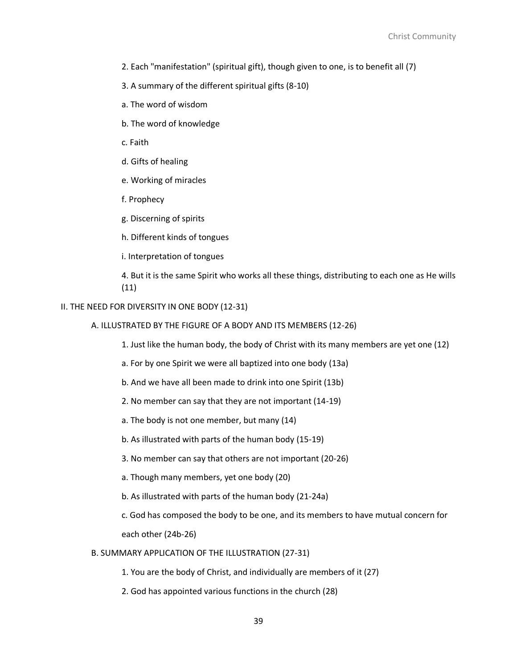- 2. Each "manifestation" (spiritual gift), though given to one, is to benefit all (7)
- 3. A summary of the different spiritual gifts (8-10)
- a. The word of wisdom
- b. The word of knowledge
- c. Faith
- d. Gifts of healing
- e. Working of miracles
- f. Prophecy
- g. Discerning of spirits
- h. Different kinds of tongues
- i. Interpretation of tongues

4. But it is the same Spirit who works all these things, distributing to each one as He wills (11)

### II. THE NEED FOR DIVERSITY IN ONE BODY (12-31)

- A. ILLUSTRATED BY THE FIGURE OF A BODY AND ITS MEMBERS (12-26)
	- 1. Just like the human body, the body of Christ with its many members are yet one (12)
	- a. For by one Spirit we were all baptized into one body (13a)
	- b. And we have all been made to drink into one Spirit (13b)
	- 2. No member can say that they are not important (14-19)
	- a. The body is not one member, but many (14)
	- b. As illustrated with parts of the human body (15-19)
	- 3. No member can say that others are not important (20-26)
	- a. Though many members, yet one body (20)
	- b. As illustrated with parts of the human body (21-24a)

c. God has composed the body to be one, and its members to have mutual concern for each other (24b-26)

- B. SUMMARY APPLICATION OF THE ILLUSTRATION (27-31)
	- 1. You are the body of Christ, and individually are members of it (27)
	- 2. God has appointed various functions in the church (28)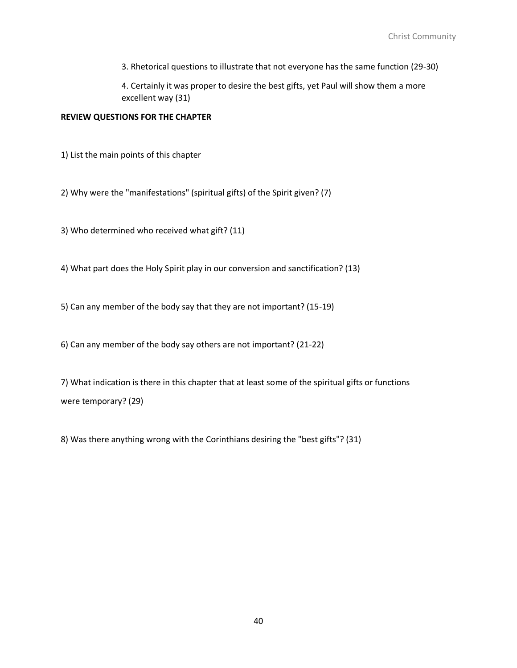3. Rhetorical questions to illustrate that not everyone has the same function (29-30)

4. Certainly it was proper to desire the best gifts, yet Paul will show them a more excellent way (31)

### **REVIEW QUESTIONS FOR THE CHAPTER**

1) List the main points of this chapter

2) Why were the "manifestations" (spiritual gifts) of the Spirit given? (7)

3) Who determined who received what gift? (11)

4) What part does the Holy Spirit play in our conversion and sanctification? (13)

5) Can any member of the body say that they are not important? (15-19)

6) Can any member of the body say others are not important? (21-22)

7) What indication is there in this chapter that at least some of the spiritual gifts or functions were temporary? (29)

8) Was there anything wrong with the Corinthians desiring the "best gifts"? (31)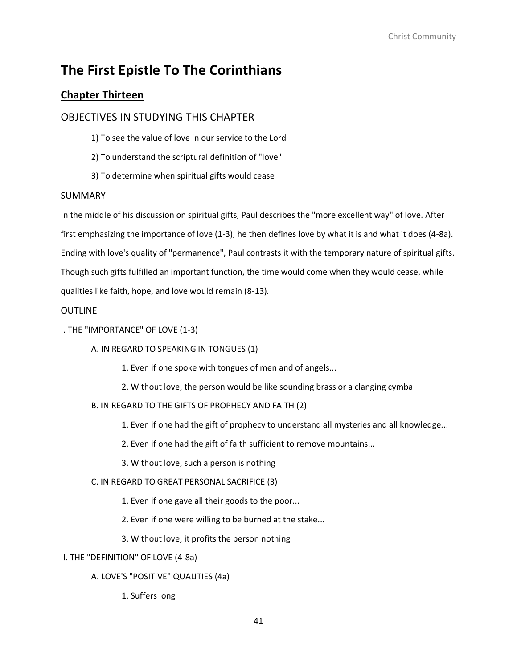# **Chapter Thirteen**

# OBJECTIVES IN STUDYING THIS CHAPTER

- 1) To see the value of love in our service to the Lord
- 2) To understand the scriptural definition of "love"
- 3) To determine when spiritual gifts would cease

# SUMMARY

In the middle of his discussion on spiritual gifts, Paul describes the "more excellent way" of love. After first emphasizing the importance of love (1-3), he then defines love by what it is and what it does (4-8a). Ending with love's quality of "permanence", Paul contrasts it with the temporary nature of spiritual gifts. Though such gifts fulfilled an important function, the time would come when they would cease, while qualities like faith, hope, and love would remain (8-13).

# **OUTLINE**

# I. THE "IMPORTANCE" OF LOVE (1-3)

# A. IN REGARD TO SPEAKING IN TONGUES (1)

- 1. Even if one spoke with tongues of men and of angels...
- 2. Without love, the person would be like sounding brass or a clanging cymbal

# B. IN REGARD TO THE GIFTS OF PROPHECY AND FAITH (2)

- 1. Even if one had the gift of prophecy to understand all mysteries and all knowledge...
- 2. Even if one had the gift of faith sufficient to remove mountains...
- 3. Without love, such a person is nothing

# C. IN REGARD TO GREAT PERSONAL SACRIFICE (3)

- 1. Even if one gave all their goods to the poor...
- 2. Even if one were willing to be burned at the stake...
- 3. Without love, it profits the person nothing

# II. THE "DEFINITION" OF LOVE (4-8a)

# A. LOVE'S "POSITIVE" QUALITIES (4a)

1. Suffers long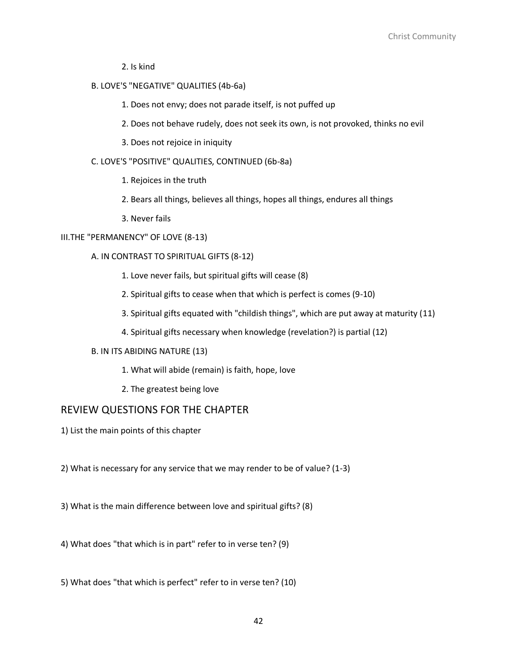2. Is kind

# B. LOVE'S "NEGATIVE" QUALITIES (4b-6a)

- 1. Does not envy; does not parade itself, is not puffed up
- 2. Does not behave rudely, does not seek its own, is not provoked, thinks no evil
- 3. Does not rejoice in iniquity

#### C. LOVE'S "POSITIVE" QUALITIES, CONTINUED (6b-8a)

- 1. Rejoices in the truth
- 2. Bears all things, believes all things, hopes all things, endures all things
- 3. Never fails

# III.THE "PERMANENCY" OF LOVE (8-13)

#### A. IN CONTRAST TO SPIRITUAL GIFTS (8-12)

- 1. Love never fails, but spiritual gifts will cease (8)
- 2. Spiritual gifts to cease when that which is perfect is comes (9-10)
- 3. Spiritual gifts equated with "childish things", which are put away at maturity (11)
- 4. Spiritual gifts necessary when knowledge (revelation?) is partial (12)

#### B. IN ITS ABIDING NATURE (13)

- 1. What will abide (remain) is faith, hope, love
- 2. The greatest being love

# REVIEW QUESTIONS FOR THE CHAPTER

- 1) List the main points of this chapter
- 2) What is necessary for any service that we may render to be of value? (1-3)
- 3) What is the main difference between love and spiritual gifts? (8)
- 4) What does "that which is in part" refer to in verse ten? (9)
- 5) What does "that which is perfect" refer to in verse ten? (10)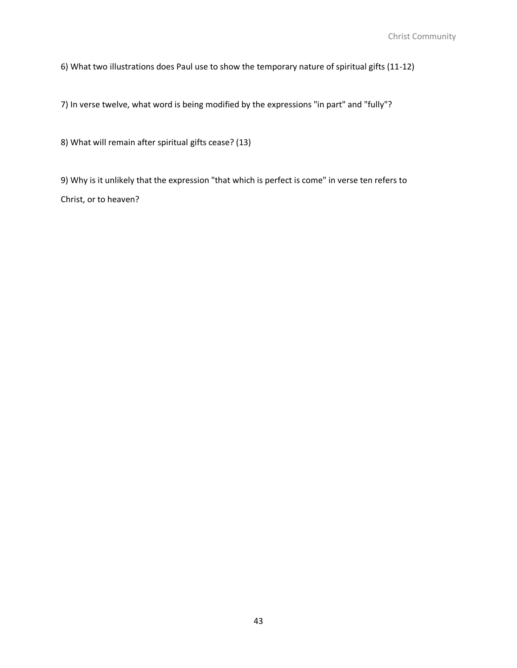6) What two illustrations does Paul use to show the temporary nature of spiritual gifts (11-12)

7) In verse twelve, what word is being modified by the expressions "in part" and "fully"?

8) What will remain after spiritual gifts cease? (13)

9) Why is it unlikely that the expression "that which is perfect is come" in verse ten refers to Christ, or to heaven?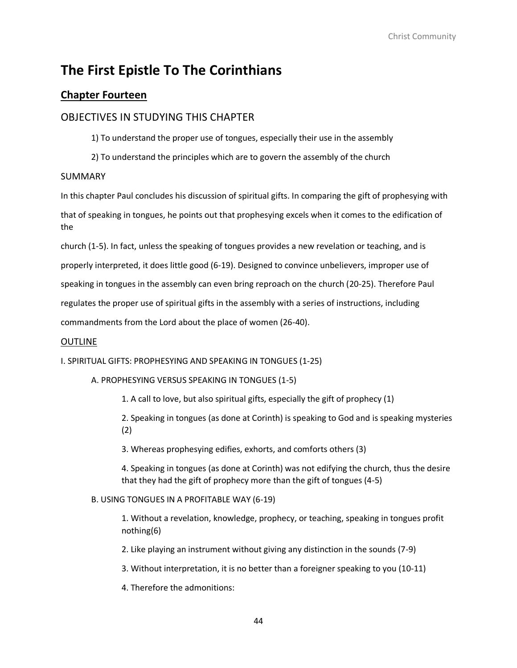# **Chapter Fourteen**

# OBJECTIVES IN STUDYING THIS CHAPTER

1) To understand the proper use of tongues, especially their use in the assembly

2) To understand the principles which are to govern the assembly of the church

# SUMMARY

In this chapter Paul concludes his discussion of spiritual gifts. In comparing the gift of prophesying with that of speaking in tongues, he points out that prophesying excels when it comes to the edification of the

church (1-5). In fact, unless the speaking of tongues provides a new revelation or teaching, and is properly interpreted, it does little good (6-19). Designed to convince unbelievers, improper use of speaking in tongues in the assembly can even bring reproach on the church (20-25). Therefore Paul regulates the proper use of spiritual gifts in the assembly with a series of instructions, including commandments from the Lord about the place of women (26-40).

# OUTLINE

I. SPIRITUAL GIFTS: PROPHESYING AND SPEAKING IN TONGUES (1-25)

A. PROPHESYING VERSUS SPEAKING IN TONGUES (1-5)

1. A call to love, but also spiritual gifts, especially the gift of prophecy (1)

2. Speaking in tongues (as done at Corinth) is speaking to God and is speaking mysteries (2)

3. Whereas prophesying edifies, exhorts, and comforts others (3)

4. Speaking in tongues (as done at Corinth) was not edifying the church, thus the desire that they had the gift of prophecy more than the gift of tongues (4-5)

# B. USING TONGUES IN A PROFITABLE WAY (6-19)

1. Without a revelation, knowledge, prophecy, or teaching, speaking in tongues profit nothing(6)

2. Like playing an instrument without giving any distinction in the sounds (7-9)

3. Without interpretation, it is no better than a foreigner speaking to you (10-11)

4. Therefore the admonitions: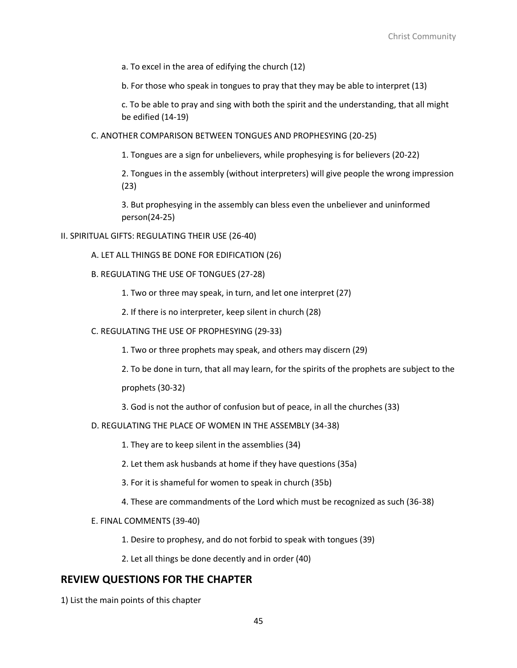a. To excel in the area of edifying the church (12)

b. For those who speak in tongues to pray that they may be able to interpret (13)

c. To be able to pray and sing with both the spirit and the understanding, that all might be edified (14-19)

C. ANOTHER COMPARISON BETWEEN TONGUES AND PROPHESYING (20-25)

1. Tongues are a sign for unbelievers, while prophesying is for believers (20-22)

2. Tongues in the assembly (without interpreters) will give people the wrong impression (23)

3. But prophesying in the assembly can bless even the unbeliever and uninformed person(24-25)

### II. SPIRITUAL GIFTS: REGULATING THEIR USE (26-40)

- A. LET ALL THINGS BE DONE FOR EDIFICATION (26)
- B. REGULATING THE USE OF TONGUES (27-28)

1. Two or three may speak, in turn, and let one interpret (27)

2. If there is no interpreter, keep silent in church (28)

C. REGULATING THE USE OF PROPHESYING (29-33)

1. Two or three prophets may speak, and others may discern (29)

2. To be done in turn, that all may learn, for the spirits of the prophets are subject to the

prophets (30-32)

3. God is not the author of confusion but of peace, in all the churches (33)

D. REGULATING THE PLACE OF WOMEN IN THE ASSEMBLY (34-38)

1. They are to keep silent in the assemblies (34)

2. Let them ask husbands at home if they have questions (35a)

3. For it is shameful for women to speak in church (35b)

4. These are commandments of the Lord which must be recognized as such (36-38)

#### E. FINAL COMMENTS (39-40)

1. Desire to prophesy, and do not forbid to speak with tongues (39)

2. Let all things be done decently and in order (40)

# **REVIEW QUESTIONS FOR THE CHAPTER**

1) List the main points of this chapter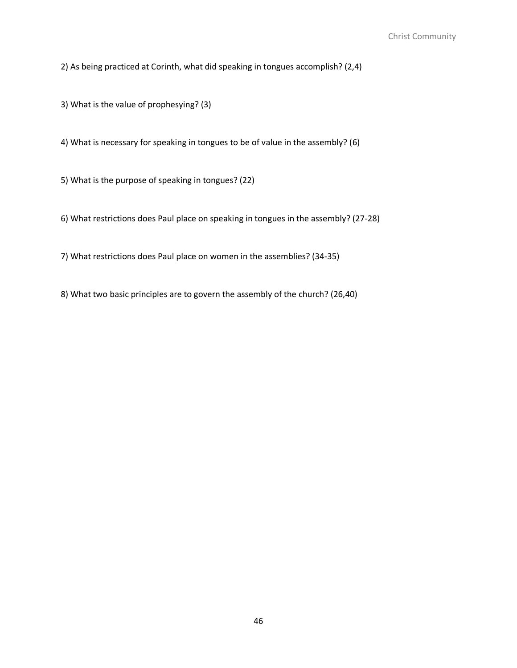2) As being practiced at Corinth, what did speaking in tongues accomplish? (2,4)

3) What is the value of prophesying? (3)

4) What is necessary for speaking in tongues to be of value in the assembly? (6)

5) What is the purpose of speaking in tongues? (22)

6) What restrictions does Paul place on speaking in tongues in the assembly? (27-28)

7) What restrictions does Paul place on women in the assemblies? (34-35)

8) What two basic principles are to govern the assembly of the church? (26,40)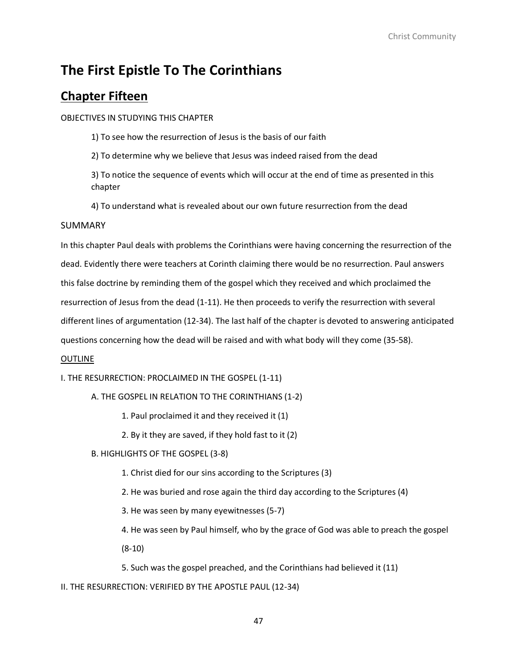# **Chapter Fifteen**

OBJECTIVES IN STUDYING THIS CHAPTER

1) To see how the resurrection of Jesus is the basis of our faith

2) To determine why we believe that Jesus was indeed raised from the dead

3) To notice the sequence of events which will occur at the end of time as presented in this chapter

4) To understand what is revealed about our own future resurrection from the dead

# SUMMARY

In this chapter Paul deals with problems the Corinthians were having concerning the resurrection of the dead. Evidently there were teachers at Corinth claiming there would be no resurrection. Paul answers this false doctrine by reminding them of the gospel which they received and which proclaimed the resurrection of Jesus from the dead (1-11). He then proceeds to verify the resurrection with several different lines of argumentation (12-34). The last half of the chapter is devoted to answering anticipated questions concerning how the dead will be raised and with what body will they come (35-58).

# OUTLINE

I. THE RESURRECTION: PROCLAIMED IN THE GOSPEL (1-11)

A. THE GOSPEL IN RELATION TO THE CORINTHIANS (1-2)

1. Paul proclaimed it and they received it (1)

2. By it they are saved, if they hold fast to it (2)

B. HIGHLIGHTS OF THE GOSPEL (3-8)

- 1. Christ died for our sins according to the Scriptures (3)
- 2. He was buried and rose again the third day according to the Scriptures (4)
- 3. He was seen by many eyewitnesses (5-7)

4. He was seen by Paul himself, who by the grace of God was able to preach the gospel (8-10)

5. Such was the gospel preached, and the Corinthians had believed it (11)

II. THE RESURRECTION: VERIFIED BY THE APOSTLE PAUL (12-34)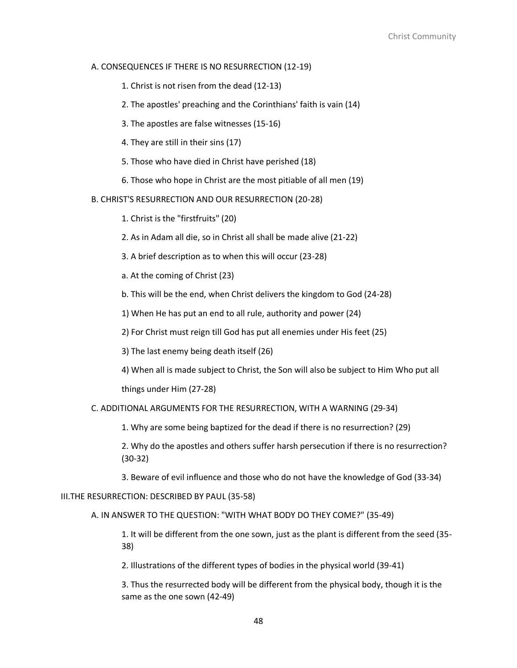#### A. CONSEQUENCES IF THERE IS NO RESURRECTION (12-19)

- 1. Christ is not risen from the dead (12-13)
- 2. The apostles' preaching and the Corinthians' faith is vain (14)
- 3. The apostles are false witnesses (15-16)
- 4. They are still in their sins (17)
- 5. Those who have died in Christ have perished (18)
- 6. Those who hope in Christ are the most pitiable of all men (19)

B. CHRIST'S RESURRECTION AND OUR RESURRECTION (20-28)

- 1. Christ is the "firstfruits" (20)
- 2. As in Adam all die, so in Christ all shall be made alive (21-22)
- 3. A brief description as to when this will occur (23-28)
- a. At the coming of Christ (23)
- b. This will be the end, when Christ delivers the kingdom to God (24-28)
- 1) When He has put an end to all rule, authority and power (24)
- 2) For Christ must reign till God has put all enemies under His feet (25)
- 3) The last enemy being death itself (26)
- 4) When all is made subject to Christ, the Son will also be subject to Him Who put all things under Him (27-28)
- C. ADDITIONAL ARGUMENTS FOR THE RESURRECTION, WITH A WARNING (29-34)
	- 1. Why are some being baptized for the dead if there is no resurrection? (29)
	- 2. Why do the apostles and others suffer harsh persecution if there is no resurrection? (30-32)
	- 3. Beware of evil influence and those who do not have the knowledge of God (33-34)

### III.THE RESURRECTION: DESCRIBED BY PAUL (35-58)

# A. IN ANSWER TO THE QUESTION: "WITH WHAT BODY DO THEY COME?" (35-49)

1. It will be different from the one sown, just as the plant is different from the seed (35- 38)

2. Illustrations of the different types of bodies in the physical world (39-41)

3. Thus the resurrected body will be different from the physical body, though it is the same as the one sown (42-49)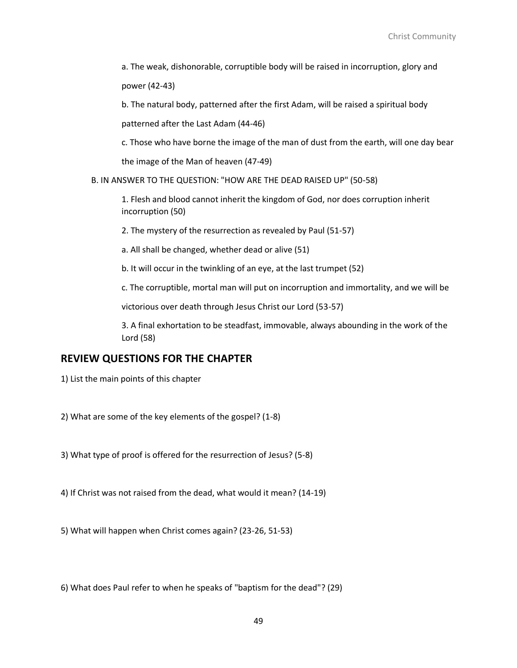a. The weak, dishonorable, corruptible body will be raised in incorruption, glory and power (42-43)

b. The natural body, patterned after the first Adam, will be raised a spiritual body

patterned after the Last Adam (44-46)

c. Those who have borne the image of the man of dust from the earth, will one day bear the image of the Man of heaven (47-49)

B. IN ANSWER TO THE QUESTION: "HOW ARE THE DEAD RAISED UP" (50-58)

1. Flesh and blood cannot inherit the kingdom of God, nor does corruption inherit incorruption (50)

2. The mystery of the resurrection as revealed by Paul (51-57)

a. All shall be changed, whether dead or alive (51)

b. It will occur in the twinkling of an eye, at the last trumpet (52)

c. The corruptible, mortal man will put on incorruption and immortality, and we will be

victorious over death through Jesus Christ our Lord (53-57)

3. A final exhortation to be steadfast, immovable, always abounding in the work of the Lord (58)

# **REVIEW QUESTIONS FOR THE CHAPTER**

1) List the main points of this chapter

2) What are some of the key elements of the gospel? (1-8)

3) What type of proof is offered for the resurrection of Jesus? (5-8)

4) If Christ was not raised from the dead, what would it mean? (14-19)

5) What will happen when Christ comes again? (23-26, 51-53)

6) What does Paul refer to when he speaks of "baptism for the dead"? (29)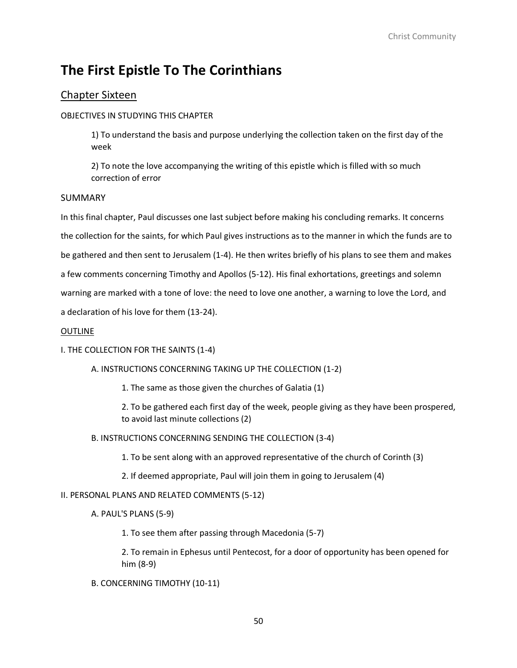# Chapter Sixteen

# OBJECTIVES IN STUDYING THIS CHAPTER

1) To understand the basis and purpose underlying the collection taken on the first day of the week

2) To note the love accompanying the writing of this epistle which is filled with so much correction of error

# SUMMARY

In this final chapter, Paul discusses one last subject before making his concluding remarks. It concerns the collection for the saints, for which Paul gives instructions as to the manner in which the funds are to be gathered and then sent to Jerusalem (1-4). He then writes briefly of his plans to see them and makes a few comments concerning Timothy and Apollos (5-12). His final exhortations, greetings and solemn warning are marked with a tone of love: the need to love one another, a warning to love the Lord, and a declaration of his love for them (13-24).

# OUTLINE

# I. THE COLLECTION FOR THE SAINTS (1-4)

# A. INSTRUCTIONS CONCERNING TAKING UP THE COLLECTION (1-2)

1. The same as those given the churches of Galatia (1)

2. To be gathered each first day of the week, people giving as they have been prospered, to avoid last minute collections (2)

B. INSTRUCTIONS CONCERNING SENDING THE COLLECTION (3-4)

1. To be sent along with an approved representative of the church of Corinth (3)

2. If deemed appropriate, Paul will join them in going to Jerusalem (4)

# II. PERSONAL PLANS AND RELATED COMMENTS (5-12)

A. PAUL'S PLANS (5-9)

1. To see them after passing through Macedonia (5-7)

2. To remain in Ephesus until Pentecost, for a door of opportunity has been opened for him (8-9)

B. CONCERNING TIMOTHY (10-11)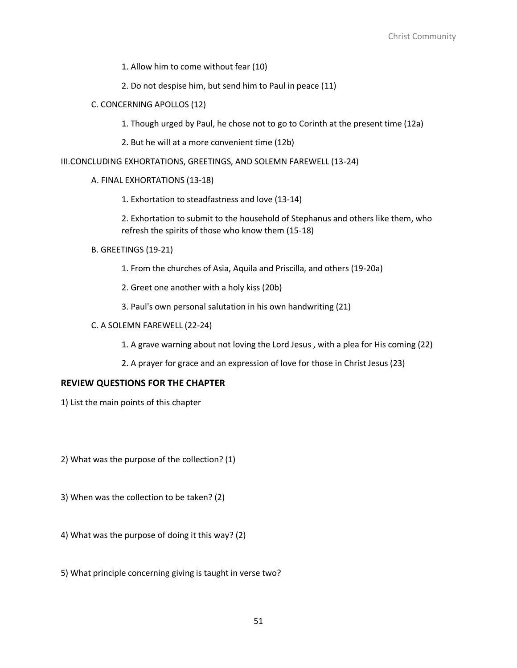- 1. Allow him to come without fear (10)
- 2. Do not despise him, but send him to Paul in peace (11)
- C. CONCERNING APOLLOS (12)
	- 1. Though urged by Paul, he chose not to go to Corinth at the present time (12a)
	- 2. But he will at a more convenient time (12b)

#### III.CONCLUDING EXHORTATIONS, GREETINGS, AND SOLEMN FAREWELL (13-24)

#### A. FINAL EXHORTATIONS (13-18)

1. Exhortation to steadfastness and love (13-14)

2. Exhortation to submit to the household of Stephanus and others like them, who refresh the spirits of those who know them (15-18)

- B. GREETINGS (19-21)
	- 1. From the churches of Asia, Aquila and Priscilla, and others (19-20a)
	- 2. Greet one another with a holy kiss (20b)
	- 3. Paul's own personal salutation in his own handwriting (21)
- C. A SOLEMN FAREWELL (22-24)
	- 1. A grave warning about not loving the Lord Jesus , with a plea for His coming (22)
	- 2. A prayer for grace and an expression of love for those in Christ Jesus (23)

#### **REVIEW QUESTIONS FOR THE CHAPTER**

- 1) List the main points of this chapter
- 2) What was the purpose of the collection? (1)
- 3) When was the collection to be taken? (2)
- 4) What was the purpose of doing it this way? (2)
- 5) What principle concerning giving is taught in verse two?